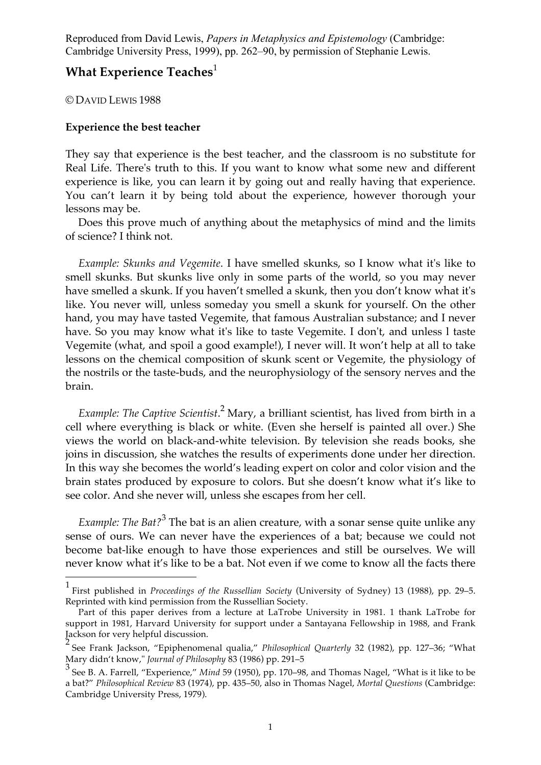Reproduced from David Lewis, *Papers in Metaphysics and Epistemology* (Cambridge: Cambridge University Press, 1999), pp. 262–90, by permission of Stephanie Lewis.

# **What Experience Teaches**<sup>1</sup>

© DAVID LEWIS 1988

# **Experience the best teacher**

They say that experience is the best teacher, and the classroom is no substitute for Real Life. There's truth to this. If you want to know what some new and different experience is like, you can learn it by going out and really having that experience. You can't learn it by being told about the experience, however thorough your lessons may be.

Does this prove much of anything about the metaphysics of mind and the limits of science? I think not.

*Example: Skunks and Vegemite*. I have smelled skunks, so I know what it's like to smell skunks. But skunks live only in some parts of the world, so you may never have smelled a skunk. If you haven't smelled a skunk, then you don't know what it's like. You never will, unless someday you smell a skunk for yourself. On the other hand, you may have tasted Vegemite, that famous Australian substance; and I never have. So you may know what it's like to taste Vegemite. I don't, and unless l taste Vegemite (what, and spoil a good example!), I never will. It won't help at all to take lessons on the chemical composition of skunk scent or Vegemite, the physiology of the nostrils or the taste-buds, and the neurophysiology of the sensory nerves and the brain.

*Example: The Captive Scientist*. <sup>2</sup> Mary, a brilliant scientist, has lived from birth in a cell where everything is black or white. (Even she herself is painted all over.) She views the world on black-and-white television. By television she reads books, she joins in discussion, she watches the results of experiments done under her direction. In this way she becomes the world's leading expert on color and color vision and the brain states produced by exposure to colors. But she doesn't know what it's like to see color. And she never will, unless she escapes from her cell.

*Example: The Bat?*<sup>3</sup> The bat is an alien creature, with a sonar sense quite unlike any sense of ours. We can never have the experiences of a bat; because we could not become bat-like enough to have those experiences and still be ourselves. We will never know what it's like to be a bat. Not even if we come to know all the facts there

<sup>1</sup> First published in *Proceedings of the Russellian Society* (University of Sydney) <sup>13</sup> (1988), pp. 29–5. Reprinted with kind permission from the Russellian Society.

Part of this paper derives from a lecture at LaTrobe University in 1981. 1 thank LaTrobe for support in 1981, Harvard University for support under a Santayana Fellowship in 1988, and Frank Jackson for very helpful discussion.

<sup>2</sup> See Frank Jackson, "Epiphenomenal qualia," *Philosophical Quarterly* <sup>32</sup> (1982), pp. 127–36; "What Mary didn't know," *Journal of Philosophy* 83 (1986) pp. 291–5

<sup>3</sup> See B. A. Farrell, "Experience," *Mind* <sup>59</sup> (1950), pp. 170–98, and Thomas Nagel, "What is it like to be a bat?" *Philosophical Review* 83 (1974), pp. 435–50, also in Thomas Nagel, *Mortal Questions* (Cambridge: Cambridge University Press, 1979).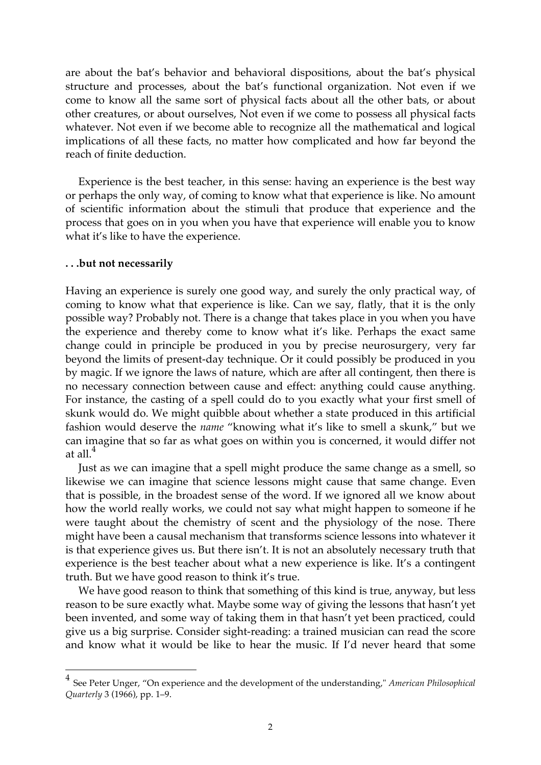are about the bat's behavior and behavioral dispositions, about the bat's physical structure and processes, about the bat's functional organization. Not even if we come to know all the same sort of physical facts about all the other bats, or about other creatures, or about ourselves, Not even if we come to possess all physical facts whatever. Not even if we become able to recognize all the mathematical and logical implications of all these facts, no matter how complicated and how far beyond the reach of finite deduction.

Experience is the best teacher, in this sense: having an experience is the best way or perhaps the only way, of coming to know what that experience is like. No amount of scientific information about the stimuli that produce that experience and the process that goes on in you when you have that experience will enable you to know what it's like to have the experience.

#### **. . .but not necessarily**

Having an experience is surely one good way, and surely the only practical way, of coming to know what that experience is like. Can we say, flatly, that it is the only possible way? Probably not. There is a change that takes place in you when you have the experience and thereby come to know what it's like. Perhaps the exact same change could in principle be produced in you by precise neurosurgery, very far beyond the limits of present-day technique. Or it could possibly be produced in you by magic. If we ignore the laws of nature, which are after all contingent, then there is no necessary connection between cause and effect: anything could cause anything. For instance, the casting of a spell could do to you exactly what your first smell of skunk would do. We might quibble about whether a state produced in this artificial fashion would deserve the *name* "knowing what it's like to smell a skunk," but we can imagine that so far as what goes on within you is concerned, it would differ not at all. $^{4}$ 

Just as we can imagine that a spell might produce the same change as a smell, so likewise we can imagine that science lessons might cause that same change. Even that is possible, in the broadest sense of the word. If we ignored all we know about how the world really works, we could not say what might happen to someone if he were taught about the chemistry of scent and the physiology of the nose. There might have been a causal mechanism that transforms science lessons into whatever it is that experience gives us. But there isn't. It is not an absolutely necessary truth that experience is the best teacher about what a new experience is like. It's a contingent truth. But we have good reason to think it's true.

We have good reason to think that something of this kind is true, anyway, but less reason to be sure exactly what. Maybe some way of giving the lessons that hasn't yet been invented, and some way of taking them in that hasn't yet been practiced, could give us a big surprise. Consider sight-reading: a trained musician can read the score and know what it would be like to hear the music. If I'd never heard that some

<sup>4</sup> See Peter Unger, "On experience and the development of the understanding," *American Philosophical Quarterly* 3 (1966), pp. 1–9.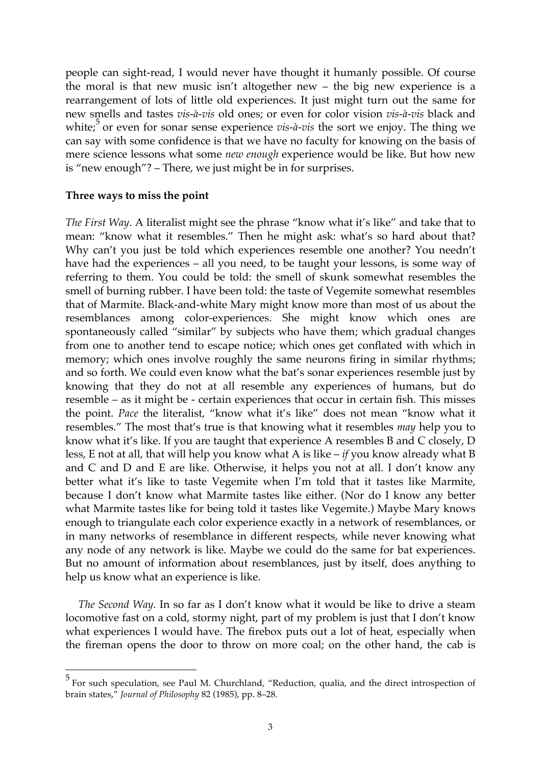people can sight-read, I would never have thought it humanly possible. Of course the moral is that new music isn't altogether new – the big new experience is a rearrangement of lots of little old experiences. It just might turn out the same for new smells and tastes *vis-à-vis* old ones; or even for color vision *vis-à-vis* black and white; 5 or even for sonar sense experience *vis-à-vis* the sort we enjoy. The thing we can say with some confidence is that we have no faculty for knowing on the basis of mere science lessons what some *new enough* experience would be like. But how new is "new enough"? – There, we just might be in for surprises.

# **Three ways to miss the point**

*The First Way*. A literalist might see the phrase "know what it's like" and take that to mean: "know what it resembles." Then he might ask: what's so hard about that? Why can't you just be told which experiences resemble one another? You needn't have had the experiences – all you need, to be taught your lessons, is some way of referring to them. You could be told: the smell of skunk somewhat resembles the smell of burning rubber. I have been told: the taste of Vegemite somewhat resembles that of Marmite. Black-and-white Mary might know more than most of us about the resemblances among color-experiences. She might know which ones are spontaneously called "similar" by subjects who have them; which gradual changes from one to another tend to escape notice; which ones get conflated with which in memory; which ones involve roughly the same neurons firing in similar rhythms; and so forth. We could even know what the bat's sonar experiences resemble just by knowing that they do not at all resemble any experiences of humans, but do resemble – as it might be - certain experiences that occur in certain fish. This misses the point. *Pace* the literalist, "know what it's like" does not mean "know what it resembles." The most that's true is that knowing what it resembles *may* help you to know what it's like. If you are taught that experience A resembles B and C closely, D less, E not at all, that will help you know what A is like – *if* you know already what B and C and D and E are like. Otherwise, it helps you not at all. I don't know any better what it's like to taste Vegemite when I'm told that it tastes like Marmite, because I don't know what Marmite tastes like either. (Nor do I know any better what Marmite tastes like for being told it tastes like Vegemite.) Maybe Mary knows enough to triangulate each color experience exactly in a network of resemblances, or in many networks of resemblance in different respects, while never knowing what any node of any network is like. Maybe we could do the same for bat experiences. But no amount of information about resemblances, just by itself, does anything to help us know what an experience is like.

*The Second Way*. In so far as I don't know what it would be like to drive a steam locomotive fast on a cold, stormy night, part of my problem is just that I don't know what experiences I would have. The firebox puts out a lot of heat, especially when the fireman opens the door to throw on more coal; on the other hand, the cab is

 $^5$  For such speculation, see Paul M. Churchland, "Reduction, qualia, and the direct introspection of brain states," *Journal of Philosophy* 82 (1985), pp. 8–28.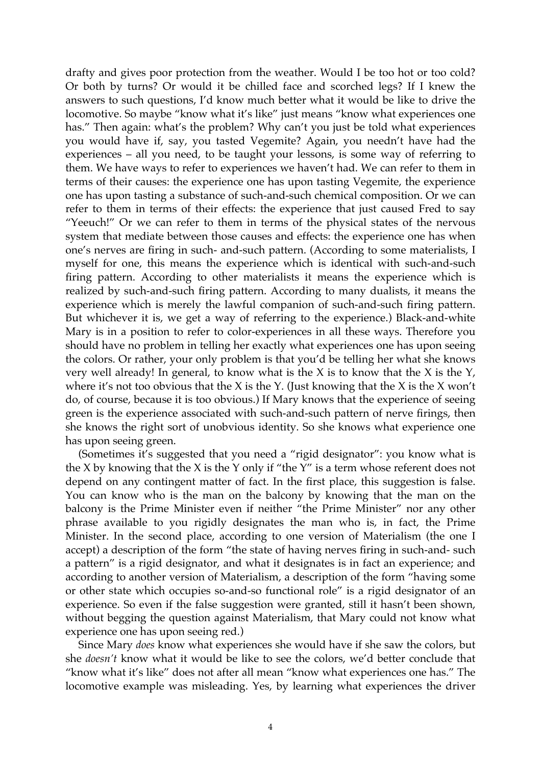drafty and gives poor protection from the weather. Would I be too hot or too cold? Or both by turns? Or would it be chilled face and scorched legs? If I knew the answers to such questions, I'd know much better what it would be like to drive the locomotive. So maybe "know what it's like" just means "know what experiences one has." Then again: what's the problem? Why can't you just be told what experiences you would have if, say, you tasted Vegemite? Again, you needn't have had the experiences – all you need, to be taught your lessons, is some way of referring to them. We have ways to refer to experiences we haven't had. We can refer to them in terms of their causes: the experience one has upon tasting Vegemite, the experience one has upon tasting a substance of such-and-such chemical composition. Or we can refer to them in terms of their effects: the experience that just caused Fred to say "Yeeuch!" Or we can refer to them in terms of the physical states of the nervous system that mediate between those causes and effects: the experience one has when one's nerves are firing in such- and-such pattern. (According to some materialists, I myself for one, this means the experience which is identical with such-and-such firing pattern. According to other materialists it means the experience which is realized by such-and-such firing pattern. According to many dualists, it means the experience which is merely the lawful companion of such-and-such firing pattern. But whichever it is, we get a way of referring to the experience.) Black-and-white Mary is in a position to refer to color-experiences in all these ways. Therefore you should have no problem in telling her exactly what experiences one has upon seeing the colors. Or rather, your only problem is that you'd be telling her what she knows very well already! In general, to know what is the  $X$  is to know that the  $X$  is the  $Y$ , where it's not too obvious that the X is the Y. (Just knowing that the X is the X won't do, of course, because it is too obvious.) If Mary knows that the experience of seeing green is the experience associated with such-and-such pattern of nerve firings, then she knows the right sort of unobvious identity. So she knows what experience one has upon seeing green.

(Sometimes it's suggested that you need a "rigid designator": you know what is the X by knowing that the X is the Y only if "the Y" is a term whose referent does not depend on any contingent matter of fact. In the first place, this suggestion is false. You can know who is the man on the balcony by knowing that the man on the balcony is the Prime Minister even if neither "the Prime Minister" nor any other phrase available to you rigidly designates the man who is, in fact, the Prime Minister. In the second place, according to one version of Materialism (the one I accept) a description of the form "the state of having nerves firing in such-and- such a pattern" is a rigid designator, and what it designates is in fact an experience; and according to another version of Materialism, a description of the form "having some or other state which occupies so-and-so functional role" is a rigid designator of an experience. So even if the false suggestion were granted, still it hasn't been shown, without begging the question against Materialism, that Mary could not know what experience one has upon seeing red.)

Since Mary *does* know what experiences she would have if she saw the colors, but she *doesn't* know what it would be like to see the colors, we'd better conclude that "know what it's like" does not after all mean "know what experiences one has." The locomotive example was misleading. Yes, by learning what experiences the driver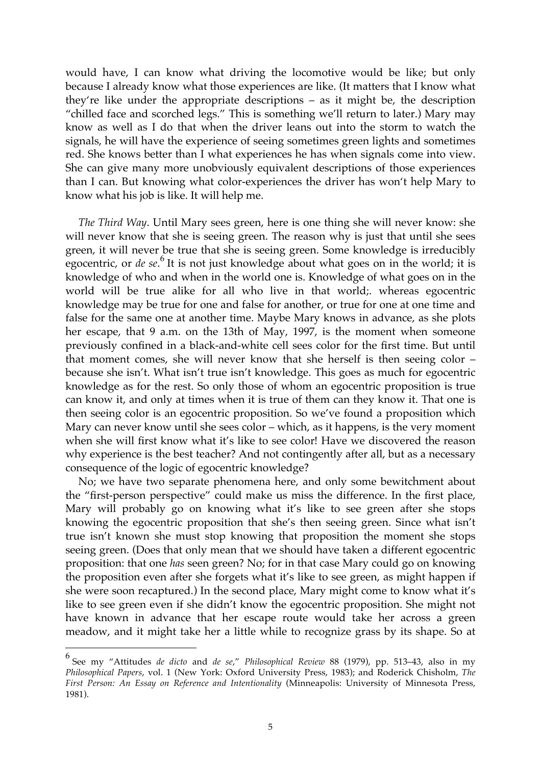would have, I can know what driving the locomotive would be like; but only because I already know what those experiences are like. (It matters that I know what they're like under the appropriate descriptions – as it might be, the description "chilled face and scorched legs." This is something we'll return to later.) Mary may know as well as I do that when the driver leans out into the storm to watch the signals, he will have the experience of seeing sometimes green lights and sometimes red. She knows better than I what experiences he has when signals come into view. She can give many more unobviously equivalent descriptions of those experiences than I can. But knowing what color-experiences the driver has won't help Mary to know what his job is like. It will help me.

*The Third Way*. Until Mary sees green, here is one thing she will never know: she will never know that she is seeing green. The reason why is just that until she sees green, it will never be true that she is seeing green. Some knowledge is irreducibly egocentric, or *de se*. <sup>6</sup> It is not just knowledge about what goes on in the world; it is knowledge of who and when in the world one is. Knowledge of what goes on in the world will be true alike for all who live in that world;. whereas egocentric knowledge may be true for one and false for another, or true for one at one time and false for the same one at another time. Maybe Mary knows in advance, as she plots her escape, that 9 a.m. on the 13th of May, 1997, is the moment when someone previously confined in a black-and-white cell sees color for the first time. But until that moment comes, she will never know that she herself is then seeing color – because she isn't. What isn't true isn't knowledge. This goes as much for egocentric knowledge as for the rest. So only those of whom an egocentric proposition is true can know it, and only at times when it is true of them can they know it. That one is then seeing color is an egocentric proposition. So we've found a proposition which Mary can never know until she sees color – which, as it happens, is the very moment when she will first know what it's like to see color! Have we discovered the reason why experience is the best teacher? And not contingently after all, but as a necessary consequence of the logic of egocentric knowledge?

No; we have two separate phenomena here, and only some bewitchment about the "first-person perspective" could make us miss the difference. In the first place, Mary will probably go on knowing what it's like to see green after she stops knowing the egocentric proposition that she's then seeing green. Since what isn't true isn't known she must stop knowing that proposition the moment she stops seeing green. (Does that only mean that we should have taken a different egocentric proposition: that one *has* seen green? No; for in that case Mary could go on knowing the proposition even after she forgets what it's like to see green, as might happen if she were soon recaptured.) In the second place, Mary might come to know what it's like to see green even if she didn't know the egocentric proposition. She might not have known in advance that her escape route would take her across a green meadow, and it might take her a little while to recognize grass by its shape. So at

<sup>6</sup> See my "Attitudes *de dicto* and *de se*," *Philosophical Review* <sup>88</sup> (1979), pp. 513–43, also in my *Philosophical Papers*, vol. 1 (New York: Oxford University Press, 1983); and Roderick Chisholm, *The First Person: An Essay on Reference and Intentionality* (Minneapolis: University of Minnesota Press, 1981).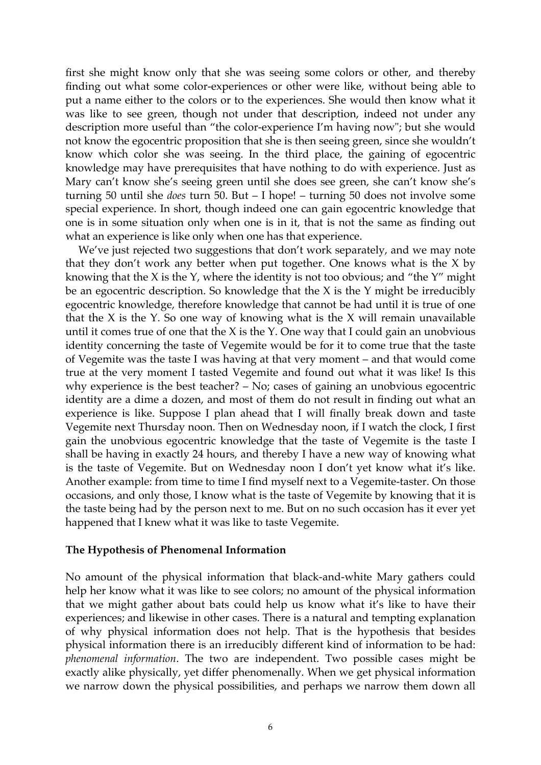first she might know only that she was seeing some colors or other, and thereby finding out what some color-experiences or other were like, without being able to put a name either to the colors or to the experiences. She would then know what it was like to see green, though not under that description, indeed not under any description more useful than "the color-experience I'm having now"; but she would not know the egocentric proposition that she is then seeing green, since she wouldn't know which color she was seeing. In the third place, the gaining of egocentric knowledge may have prerequisites that have nothing to do with experience. Just as Mary can't know she's seeing green until she does see green, she can't know she's turning 50 until she *does* turn 50. But – I hope! – turning 50 does not involve some special experience. In short, though indeed one can gain egocentric knowledge that one is in some situation only when one is in it, that is not the same as finding out what an experience is like only when one has that experience.

We've just rejected two suggestions that don't work separately, and we may note that they don't work any better when put together. One knows what is the X by knowing that the X is the Y, where the identity is not too obvious; and "the Y" might be an egocentric description. So knowledge that the X is the Y might be irreducibly egocentric knowledge, therefore knowledge that cannot be had until it is true of one that the X is the Y. So one way of knowing what is the X will remain unavailable until it comes true of one that the X is the Y. One way that I could gain an unobvious identity concerning the taste of Vegemite would be for it to come true that the taste of Vegemite was the taste I was having at that very moment – and that would come true at the very moment I tasted Vegemite and found out what it was like! Is this why experience is the best teacher? – No; cases of gaining an unobvious egocentric identity are a dime a dozen, and most of them do not result in finding out what an experience is like. Suppose I plan ahead that I will finally break down and taste Vegemite next Thursday noon. Then on Wednesday noon, if I watch the clock, I first gain the unobvious egocentric knowledge that the taste of Vegemite is the taste I shall be having in exactly 24 hours, and thereby I have a new way of knowing what is the taste of Vegemite. But on Wednesday noon I don't yet know what it's like. Another example: from time to time I find myself next to a Vegemite-taster. On those occasions, and only those, I know what is the taste of Vegemite by knowing that it is the taste being had by the person next to me. But on no such occasion has it ever yet happened that I knew what it was like to taste Vegemite.

#### **The Hypothesis of Phenomenal Information**

No amount of the physical information that black-and-white Mary gathers could help her know what it was like to see colors; no amount of the physical information that we might gather about bats could help us know what it's like to have their experiences; and likewise in other cases. There is a natural and tempting explanation of why physical information does not help. That is the hypothesis that besides physical information there is an irreducibly different kind of information to be had: *phenomenal information*. The two are independent. Two possible cases might be exactly alike physically, yet differ phenomenally. When we get physical information we narrow down the physical possibilities, and perhaps we narrow them down all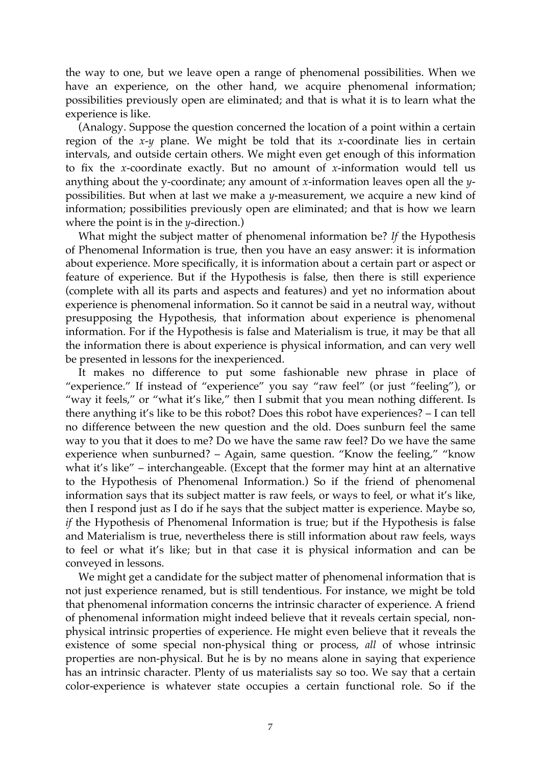the way to one, but we leave open a range of phenomenal possibilities. When we have an experience, on the other hand, we acquire phenomenal information; possibilities previously open are eliminated; and that is what it is to learn what the experience is like.

(Analogy. Suppose the question concerned the location of a point within a certain region of the *x-y* plane. We might be told that its *x-*coordinate lies in certain intervals, and outside certain others. We might even get enough of this information to fix the *x*-coordinate exactly. But no amount of *x*-information would tell us anything about the y-coordinate; any amount of *x*-information leaves open all the *y*possibilities. But when at last we make a *y*-measurement, we acquire a new kind of information; possibilities previously open are eliminated; and that is how we learn where the point is in the *y*-direction.)

What might the subject matter of phenomenal information be? *If* the Hypothesis of Phenomenal Information is true, then you have an easy answer: it is information about experience. More specifically, it is information about a certain part or aspect or feature of experience. But if the Hypothesis is false, then there is still experience (complete with all its parts and aspects and features) and yet no information about experience is phenomenal information. So it cannot be said in a neutral way, without presupposing the Hypothesis, that information about experience is phenomenal information. For if the Hypothesis is false and Materialism is true, it may be that all the information there is about experience is physical information, and can very well be presented in lessons for the inexperienced.

It makes no difference to put some fashionable new phrase in place of "experience." If instead of "experience" you say "raw feel" (or just "feeling"), or "way it feels," or "what it's like," then I submit that you mean nothing different. Is there anything it's like to be this robot? Does this robot have experiences? – I can tell no difference between the new question and the old. Does sunburn feel the same way to you that it does to me? Do we have the same raw feel? Do we have the same experience when sunburned? – Again, same question. "Know the feeling," "know what it's like" – interchangeable. (Except that the former may hint at an alternative to the Hypothesis of Phenomenal Information.) So if the friend of phenomenal information says that its subject matter is raw feels, or ways to feel, or what it's like, then I respond just as I do if he says that the subject matter is experience. Maybe so, *if* the Hypothesis of Phenomenal Information is true; but if the Hypothesis is false and Materialism is true, nevertheless there is still information about raw feels, ways to feel or what it's like; but in that case it is physical information and can be conveyed in lessons.

We might get a candidate for the subject matter of phenomenal information that is not just experience renamed, but is still tendentious. For instance, we might be told that phenomenal information concerns the intrinsic character of experience. A friend of phenomenal information might indeed believe that it reveals certain special, nonphysical intrinsic properties of experience. He might even believe that it reveals the existence of some special non-physical thing or process, *all* of whose intrinsic properties are non-physical. But he is by no means alone in saying that experience has an intrinsic character. Plenty of us materialists say so too. We say that a certain color-experience is whatever state occupies a certain functional role. So if the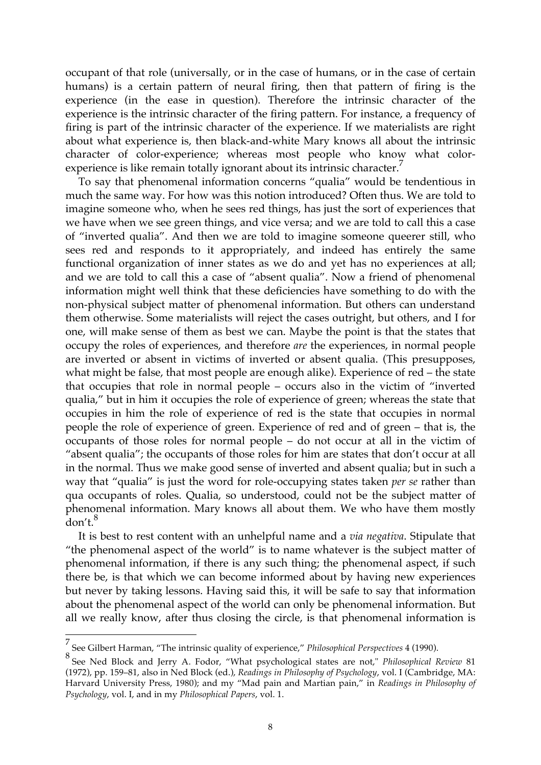occupant of that role (universally, or in the case of humans, or in the case of certain humans) is a certain pattern of neural firing, then that pattern of firing is the experience (in the ease in question). Therefore the intrinsic character of the experience is the intrinsic character of the firing pattern. For instance, a frequency of firing is part of the intrinsic character of the experience. If we materialists are right about what experience is, then black-and-white Mary knows all about the intrinsic character of color-experience; whereas most people who know what colorexperience is like remain totally ignorant about its intrinsic character.

To say that phenomenal information concerns "qualia" would be tendentious in much the same way. For how was this notion introduced? Often thus. We are told to imagine someone who, when he sees red things, has just the sort of experiences that we have when we see green things, and vice versa; and we are told to call this a case of "inverted qualia". And then we are told to imagine someone queerer still, who sees red and responds to it appropriately, and indeed has entirely the same functional organization of inner states as we do and yet has no experiences at all; and we are told to call this a case of "absent qualia". Now a friend of phenomenal information might well think that these deficiencies have something to do with the non-physical subject matter of phenomenal information. But others can understand them otherwise. Some materialists will reject the cases outright, but others, and I for one, will make sense of them as best we can. Maybe the point is that the states that occupy the roles of experiences, and therefore *are* the experiences, in normal people are inverted or absent in victims of inverted or absent qualia. (This presupposes, what might be false, that most people are enough alike). Experience of red – the state that occupies that role in normal people – occurs also in the victim of "inverted qualia," but in him it occupies the role of experience of green; whereas the state that occupies in him the role of experience of red is the state that occupies in normal people the role of experience of green. Experience of red and of green – that is, the occupants of those roles for normal people – do not occur at all in the victim of "absent qualia"; the occupants of those roles for him are states that don't occur at all in the normal. Thus we make good sense of inverted and absent qualia; but in such a way that "qualia" is just the word for role-occupying states taken *per se* rather than qua occupants of roles. Qualia, so understood, could not be the subject matter of phenomenal information. Mary knows all about them. We who have them mostly  $don't.<sup>8</sup>$ 

It is best to rest content with an unhelpful name and a *via negativa*. Stipulate that "the phenomenal aspect of the world" is to name whatever is the subject matter of phenomenal information, if there is any such thing; the phenomenal aspect, if such there be, is that which we can become informed about by having new experiences but never by taking lessons. Having said this, it will be safe to say that information about the phenomenal aspect of the world can only be phenomenal information. But all we really know, after thus closing the circle, is that phenomenal information is

<sup>7</sup> See Gilbert Harman, "The intrinsic quality of experience," *Philosophical Perspectives* <sup>4</sup> (1990).

<sup>8</sup> See Ned Block and Jerry A. Fodor, "What psychological states are not," *Philosophical Review* <sup>81</sup> (1972), pp. 159–81, also in Ned Block (ed.), *Readings in Philosophy of Psychology*, vol. I (Cambridge, MA: Harvard University Press, 1980); and my "Mad pain and Martian pain," in *Readings in Philosophy of Psychology*, vol. I, and in my *Philosophical Papers*, vol. 1.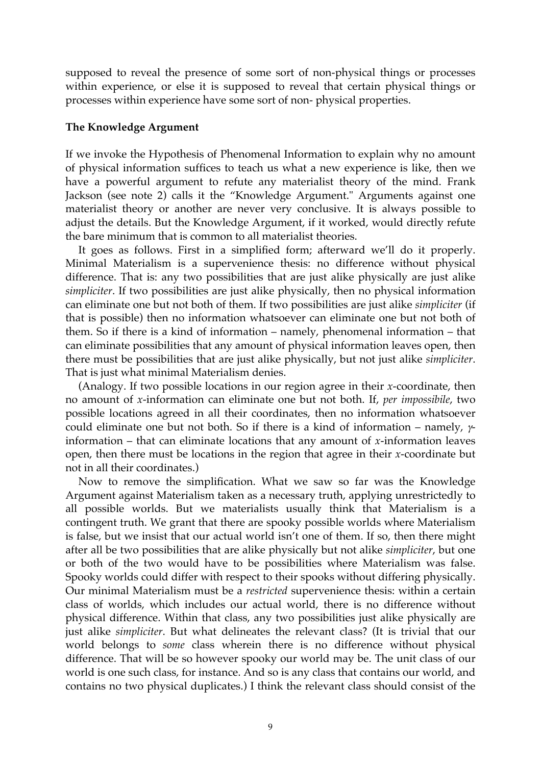supposed to reveal the presence of some sort of non-physical things or processes within experience, or else it is supposed to reveal that certain physical things or processes within experience have some sort of non- physical properties.

#### **The Knowledge Argument**

If we invoke the Hypothesis of Phenomenal Information to explain why no amount of physical information suffices to teach us what a new experience is like, then we have a powerful argument to refute any materialist theory of the mind. Frank Jackson (see note 2) calls it the "Knowledge Argument." Arguments against one materialist theory or another are never very conclusive. It is always possible to adjust the details. But the Knowledge Argument, if it worked, would directly refute the bare minimum that is common to all materialist theories.

It goes as follows. First in a simplified form; afterward we'll do it properly. Minimal Materialism is a supervenience thesis: no difference without physical difference. That is: any two possibilities that are just alike physically are just alike *simpliciter*. If two possibilities are just alike physically, then no physical information can eliminate one but not both of them. If two possibilities are just alike *simpliciter* (if that is possible) then no information whatsoever can eliminate one but not both of them. So if there is a kind of information – namely, phenomenal information – that can eliminate possibilities that any amount of physical information leaves open, then there must be possibilities that are just alike physically, but not just alike *simpliciter*. That is just what minimal Materialism denies.

(Analogy. If two possible locations in our region agree in their *x*-coordinate, then no amount of *x*-information can eliminate one but not both. If, *per impossibile*, two possible locations agreed in all their coordinates, then no information whatsoever could eliminate one but not both. So if there is a kind of information – namely,  $\gamma$ information – that can eliminate locations that any amount of *x*-information leaves open, then there must be locations in the region that agree in their *x*-coordinate but not in all their coordinates.)

Now to remove the simplification. What we saw so far was the Knowledge Argument against Materialism taken as a necessary truth, applying unrestrictedly to all possible worlds. But we materialists usually think that Materialism is a contingent truth. We grant that there are spooky possible worlds where Materialism is false, but we insist that our actual world isn't one of them. If so, then there might after all be two possibilities that are alike physically but not alike *simpliciter*, but one or both of the two would have to be possibilities where Materialism was false. Spooky worlds could differ with respect to their spooks without differing physically. Our minimal Materialism must be a *restricted* supervenience thesis: within a certain class of worlds, which includes our actual world, there is no difference without physical difference. Within that class, any two possibilities just alike physically are just alike *simpliciter*. But what delineates the relevant class? (It is trivial that our world belongs to *some* class wherein there is no difference without physical difference. That will be so however spooky our world may be. The unit class of our world is one such class, for instance. And so is any class that contains our world, and contains no two physical duplicates.) I think the relevant class should consist of the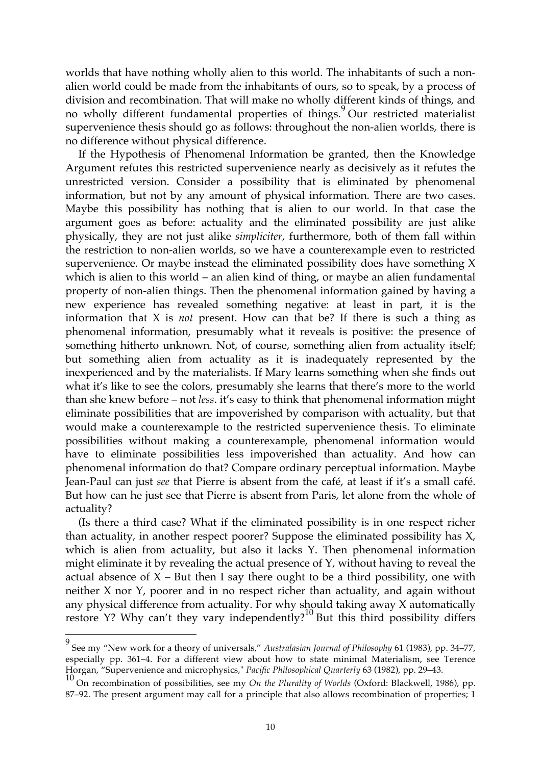worlds that have nothing wholly alien to this world. The inhabitants of such a nonalien world could be made from the inhabitants of ours, so to speak, by a process of division and recombination. That will make no wholly different kinds of things, and no wholly different fundamental properties of things.<sup>9</sup> Our restricted materialist supervenience thesis should go as follows: throughout the non-alien worlds, there is no difference without physical difference.

If the Hypothesis of Phenomenal Information be granted, then the Knowledge Argument refutes this restricted supervenience nearly as decisively as it refutes the unrestricted version. Consider a possibility that is eliminated by phenomenal information, but not by any amount of physical information. There are two cases. Maybe this possibility has nothing that is alien to our world. In that case the argument goes as before: actuality and the eliminated possibility are just alike physically, they are not just alike *simpliciter*, furthermore, both of them fall within the restriction to non-alien worlds, so we have a counterexample even to restricted supervenience. Or maybe instead the eliminated possibility does have something X which is alien to this world – an alien kind of thing, or maybe an alien fundamental property of non-alien things. Then the phenomenal information gained by having a new experience has revealed something negative: at least in part, it is the information that X is *not* present. How can that be? If there is such a thing as phenomenal information, presumably what it reveals is positive: the presence of something hitherto unknown. Not, of course, something alien from actuality itself; but something alien from actuality as it is inadequately represented by the inexperienced and by the materialists. If Mary learns something when she finds out what it's like to see the colors, presumably she learns that there's more to the world than she knew before – not *less*. it's easy to think that phenomenal information might eliminate possibilities that are impoverished by comparison with actuality, but that would make a counterexample to the restricted supervenience thesis. To eliminate possibilities without making a counterexample, phenomenal information would have to eliminate possibilities less impoverished than actuality. And how can phenomenal information do that? Compare ordinary perceptual information. Maybe Jean-Paul can just *see* that Pierre is absent from the café, at least if it's a small café. But how can he just see that Pierre is absent from Paris, let alone from the whole of actuality?

(Is there a third case? What if the eliminated possibility is in one respect richer than actuality, in another respect poorer? Suppose the eliminated possibility has X, which is alien from actuality, but also it lacks Y. Then phenomenal information might eliminate it by revealing the actual presence of Y, without having to reveal the actual absence of  $X$  – But then I say there ought to be a third possibility, one with neither X nor Y, poorer and in no respect richer than actuality, and again without any physical difference from actuality. For why should taking away X automatically restore Y? Why can't they vary independently?<sup>10</sup> But this third possibility differs

<sup>9</sup> See my "New work for <sup>a</sup> theory of universals," *Australasian Journal of Philosophy* <sup>61</sup> (1983), pp. 34–77, especially pp. 361–4. For a different view about how to state minimal Materialism, see Terence Horgan, "Supervenience and microphysics," *Pacific Philosophical Quarterly* 63 (1982), pp. 29–43.

<sup>10</sup> On recombination of possibilities, see my *On the Plurality of Worlds* (Oxford: Blackwell, 1986), pp. 87–92. The present argument may call for a principle that also allows recombination of properties; 1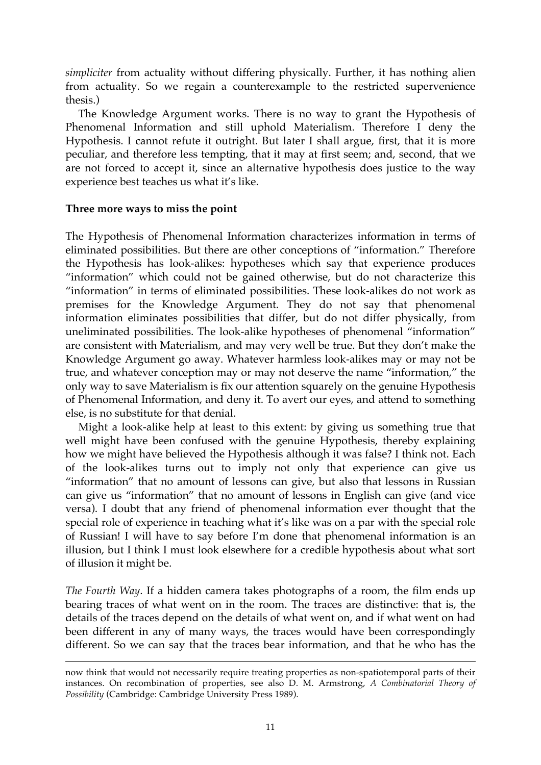*simpliciter* from actuality without differing physically. Further, it has nothing alien from actuality. So we regain a counterexample to the restricted supervenience thesis.)

The Knowledge Argument works. There is no way to grant the Hypothesis of Phenomenal Information and still uphold Materialism. Therefore I deny the Hypothesis. I cannot refute it outright. But later I shall argue, first, that it is more peculiar, and therefore less tempting, that it may at first seem; and, second, that we are not forced to accept it, since an alternative hypothesis does justice to the way experience best teaches us what it's like.

# **Three more ways to miss the point**

 $\overline{a}$ 

The Hypothesis of Phenomenal Information characterizes information in terms of eliminated possibilities. But there are other conceptions of "information." Therefore the Hypothesis has look-alikes: hypotheses which say that experience produces "information" which could not be gained otherwise, but do not characterize this "information" in terms of eliminated possibilities. These look-alikes do not work as premises for the Knowledge Argument. They do not say that phenomenal information eliminates possibilities that differ, but do not differ physically, from uneliminated possibilities. The look-alike hypotheses of phenomenal "information" are consistent with Materialism, and may very well be true. But they don't make the Knowledge Argument go away. Whatever harmless look-alikes may or may not be true, and whatever conception may or may not deserve the name "information," the only way to save Materialism is fix our attention squarely on the genuine Hypothesis of Phenomenal Information, and deny it. To avert our eyes, and attend to something else, is no substitute for that denial.

Might a look-alike help at least to this extent: by giving us something true that well might have been confused with the genuine Hypothesis, thereby explaining how we might have believed the Hypothesis although it was false? I think not. Each of the look-alikes turns out to imply not only that experience can give us "information" that no amount of lessons can give, but also that lessons in Russian can give us "information" that no amount of lessons in English can give (and vice versa). I doubt that any friend of phenomenal information ever thought that the special role of experience in teaching what it's like was on a par with the special role of Russian! I will have to say before I'm done that phenomenal information is an illusion, but I think I must look elsewhere for a credible hypothesis about what sort of illusion it might be.

*The Fourth Way*. If a hidden camera takes photographs of a room, the film ends up bearing traces of what went on in the room. The traces are distinctive: that is, the details of the traces depend on the details of what went on, and if what went on had been different in any of many ways, the traces would have been correspondingly different. So we can say that the traces bear information, and that he who has the

now think that would not necessarily require treating properties as non-spatiotemporal parts of their instances. On recombination of properties, see also D. M. Armstrong, *A Combinatorial Theory of Possibility* (Cambridge: Cambridge University Press 1989).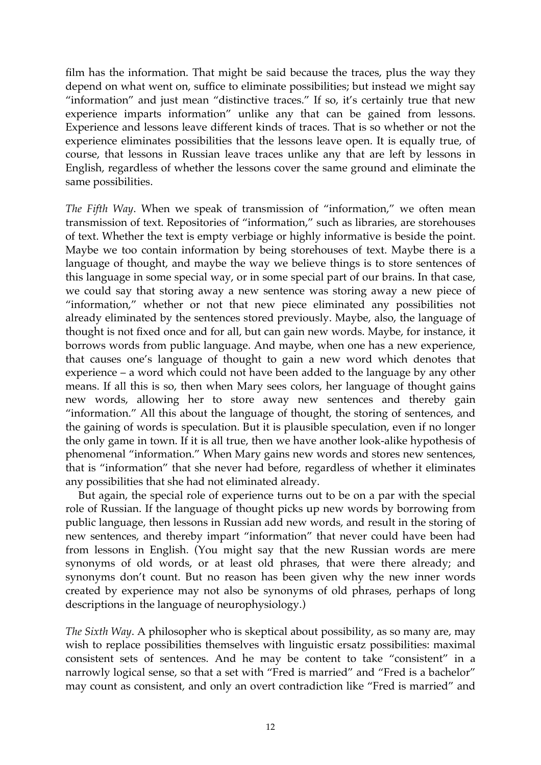film has the information. That might be said because the traces, plus the way they depend on what went on, suffice to eliminate possibilities; but instead we might say "information" and just mean "distinctive traces." If so, it's certainly true that new experience imparts information" unlike any that can be gained from lessons. Experience and lessons leave different kinds of traces. That is so whether or not the experience eliminates possibilities that the lessons leave open. It is equally true, of course, that lessons in Russian leave traces unlike any that are left by lessons in English, regardless of whether the lessons cover the same ground and eliminate the same possibilities.

*The Fifth Way*. When we speak of transmission of "information," we often mean transmission of text. Repositories of "information," such as libraries, are storehouses of text. Whether the text is empty verbiage or highly informative is beside the point. Maybe we too contain information by being storehouses of text. Maybe there is a language of thought, and maybe the way we believe things is to store sentences of this language in some special way, or in some special part of our brains. In that case, we could say that storing away a new sentence was storing away a new piece of "information," whether or not that new piece eliminated any possibilities not already eliminated by the sentences stored previously. Maybe, also, the language of thought is not fixed once and for all, but can gain new words. Maybe, for instance, it borrows words from public language. And maybe, when one has a new experience, that causes one's language of thought to gain a new word which denotes that experience – a word which could not have been added to the language by any other means. If all this is so, then when Mary sees colors, her language of thought gains new words, allowing her to store away new sentences and thereby gain "information." All this about the language of thought, the storing of sentences, and the gaining of words is speculation. But it is plausible speculation, even if no longer the only game in town. If it is all true, then we have another look-alike hypothesis of phenomenal "information." When Mary gains new words and stores new sentences, that is "information" that she never had before, regardless of whether it eliminates any possibilities that she had not eliminated already.

But again, the special role of experience turns out to be on a par with the special role of Russian. If the language of thought picks up new words by borrowing from public language, then lessons in Russian add new words, and result in the storing of new sentences, and thereby impart "information" that never could have been had from lessons in English. (You might say that the new Russian words are mere synonyms of old words, or at least old phrases, that were there already; and synonyms don't count. But no reason has been given why the new inner words created by experience may not also be synonyms of old phrases, perhaps of long descriptions in the language of neurophysiology.)

*The Sixth Way*. A philosopher who is skeptical about possibility, as so many are, may wish to replace possibilities themselves with linguistic ersatz possibilities: maximal consistent sets of sentences. And he may be content to take "consistent" in a narrowly logical sense, so that a set with "Fred is married" and "Fred is a bachelor" may count as consistent, and only an overt contradiction like "Fred is married" and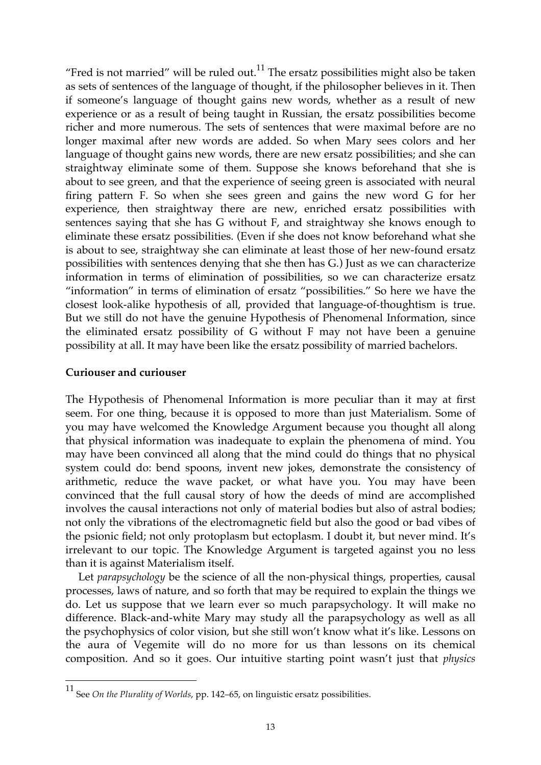"Fred is not married" will be ruled out.<sup>11</sup> The ersatz possibilities might also be taken as sets of sentences of the language of thought, if the philosopher believes in it. Then if someone's language of thought gains new words, whether as a result of new experience or as a result of being taught in Russian, the ersatz possibilities become richer and more numerous. The sets of sentences that were maximal before are no longer maximal after new words are added. So when Mary sees colors and her language of thought gains new words, there are new ersatz possibilities; and she can straightway eliminate some of them. Suppose she knows beforehand that she is about to see green, and that the experience of seeing green is associated with neural firing pattern F. So when she sees green and gains the new word G for her experience, then straightway there are new, enriched ersatz possibilities with sentences saying that she has G without F, and straightway she knows enough to eliminate these ersatz possibilities. (Even if she does not know beforehand what she is about to see, straightway she can eliminate at least those of her new-found ersatz possibilities with sentences denying that she then has G.) Just as we can characterize information in terms of elimination of possibilities, so we can characterize ersatz "information" in terms of elimination of ersatz "possibilities." So here we have the closest look-alike hypothesis of all, provided that language-of-thoughtism is true. But we still do not have the genuine Hypothesis of Phenomenal Information, since the eliminated ersatz possibility of G without F may not have been a genuine possibility at all. It may have been like the ersatz possibility of married bachelors.

## **Curiouser and curiouser**

The Hypothesis of Phenomenal Information is more peculiar than it may at first seem. For one thing, because it is opposed to more than just Materialism. Some of you may have welcomed the Knowledge Argument because you thought all along that physical information was inadequate to explain the phenomena of mind. You may have been convinced all along that the mind could do things that no physical system could do: bend spoons, invent new jokes, demonstrate the consistency of arithmetic, reduce the wave packet, or what have you. You may have been convinced that the full causal story of how the deeds of mind are accomplished involves the causal interactions not only of material bodies but also of astral bodies; not only the vibrations of the electromagnetic field but also the good or bad vibes of the psionic field; not only protoplasm but ectoplasm. I doubt it, but never mind. It's irrelevant to our topic. The Knowledge Argument is targeted against you no less than it is against Materialism itself.

Let *parapsychology* be the science of all the non-physical things, properties, causal processes, laws of nature, and so forth that may be required to explain the things we do. Let us suppose that we learn ever so much parapsychology. It will make no difference. Black-and-white Mary may study all the parapsychology as well as all the psychophysics of color vision, but she still won't know what it's like. Lessons on the aura of Vegemite will do no more for us than lessons on its chemical composition. And so it goes. Our intuitive starting point wasn't just that *physics*

<sup>11</sup> See *On the Plurality of Worlds*, pp. 142–65, on linguistic ersatz possibilities.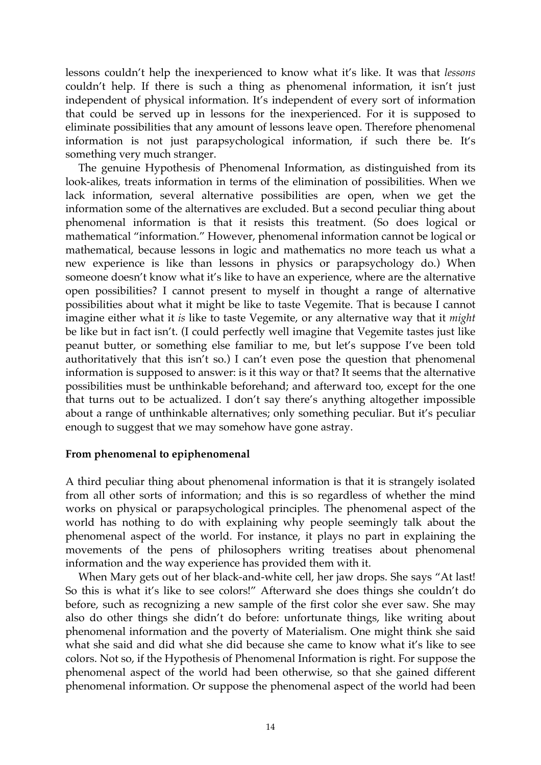lessons couldn't help the inexperienced to know what it's like. It was that *lessons* couldn't help. If there is such a thing as phenomenal information, it isn't just independent of physical information. It's independent of every sort of information that could be served up in lessons for the inexperienced. For it is supposed to eliminate possibilities that any amount of lessons leave open. Therefore phenomenal information is not just parapsychological information, if such there be. It's something very much stranger.

The genuine Hypothesis of Phenomenal Information, as distinguished from its look-alikes, treats information in terms of the elimination of possibilities. When we lack information, several alternative possibilities are open, when we get the information some of the alternatives are excluded. But a second peculiar thing about phenomenal information is that it resists this treatment. (So does logical or mathematical "information." However, phenomenal information cannot be logical or mathematical, because lessons in logic and mathematics no more teach us what a new experience is like than lessons in physics or parapsychology do.) When someone doesn't know what it's like to have an experience, where are the alternative open possibilities? I cannot present to myself in thought a range of alternative possibilities about what it might be like to taste Vegemite. That is because I cannot imagine either what it *is* like to taste Vegemite, or any alternative way that it *might* be like but in fact isn't. (I could perfectly well imagine that Vegemite tastes just like peanut butter, or something else familiar to me, but let's suppose I've been told authoritatively that this isn't so.) I can't even pose the question that phenomenal information is supposed to answer: is it this way or that? It seems that the alternative possibilities must be unthinkable beforehand; and afterward too, except for the one that turns out to be actualized. I don't say there's anything altogether impossible about a range of unthinkable alternatives; only something peculiar. But it's peculiar enough to suggest that we may somehow have gone astray.

# **From phenomenal to epiphenomenal**

A third peculiar thing about phenomenal information is that it is strangely isolated from all other sorts of information; and this is so regardless of whether the mind works on physical or parapsychological principles. The phenomenal aspect of the world has nothing to do with explaining why people seemingly talk about the phenomenal aspect of the world. For instance, it plays no part in explaining the movements of the pens of philosophers writing treatises about phenomenal information and the way experience has provided them with it.

When Mary gets out of her black-and-white cell, her jaw drops. She says "At last! So this is what it's like to see colors!" Afterward she does things she couldn't do before, such as recognizing a new sample of the first color she ever saw. She may also do other things she didn't do before: unfortunate things, like writing about phenomenal information and the poverty of Materialism. One might think she said what she said and did what she did because she came to know what it's like to see colors. Not so, if the Hypothesis of Phenomenal Information is right. For suppose the phenomenal aspect of the world had been otherwise, so that she gained different phenomenal information. Or suppose the phenomenal aspect of the world had been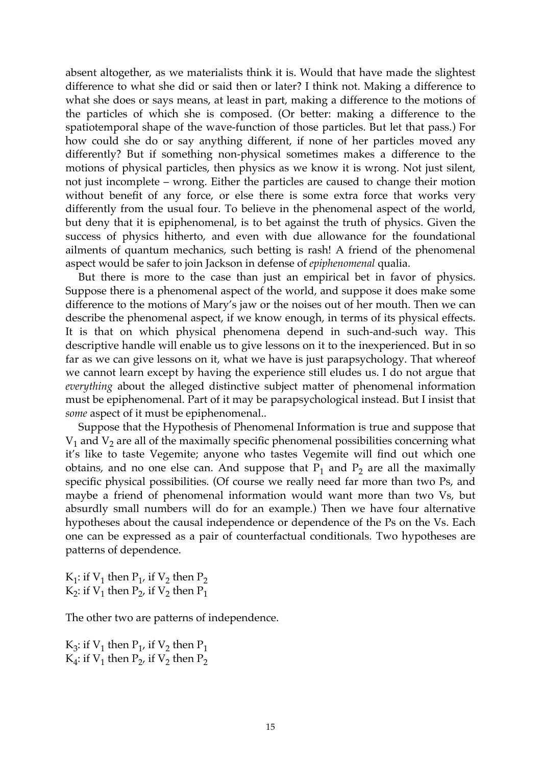absent altogether, as we materialists think it is. Would that have made the slightest difference to what she did or said then or later? I think not. Making a difference to what she does or says means, at least in part, making a difference to the motions of the particles of which she is composed. (Or better: making a difference to the spatiotemporal shape of the wave-function of those particles. But let that pass.) For how could she do or say anything different, if none of her particles moved any differently? But if something non-physical sometimes makes a difference to the motions of physical particles, then physics as we know it is wrong. Not just silent, not just incomplete – wrong. Either the particles are caused to change their motion without benefit of any force, or else there is some extra force that works very differently from the usual four. To believe in the phenomenal aspect of the world, but deny that it is epiphenomenal, is to bet against the truth of physics. Given the success of physics hitherto, and even with due allowance for the foundational ailments of quantum mechanics, such betting is rash! A friend of the phenomenal aspect would be safer to join Jackson in defense of *epiphenomenal* qualia.

But there is more to the case than just an empirical bet in favor of physics. Suppose there is a phenomenal aspect of the world, and suppose it does make some difference to the motions of Mary's jaw or the noises out of her mouth. Then we can describe the phenomenal aspect, if we know enough, in terms of its physical effects. It is that on which physical phenomena depend in such-and-such way. This descriptive handle will enable us to give lessons on it to the inexperienced. But in so far as we can give lessons on it, what we have is just parapsychology. That whereof we cannot learn except by having the experience still eludes us. I do not argue that *everything* about the alleged distinctive subject matter of phenomenal information must be epiphenomenal. Part of it may be parapsychological instead. But I insist that *some* aspect of it must be epiphenomenal..

Suppose that the Hypothesis of Phenomenal Information is true and suppose that  $V_1$  and  $V_2$  are all of the maximally specific phenomenal possibilities concerning what it's like to taste Vegemite; anyone who tastes Vegemite will find out which one obtains, and no one else can. And suppose that  $P_1$  and  $P_2$  are all the maximally specific physical possibilities. (Of course we really need far more than two Ps, and maybe a friend of phenomenal information would want more than two Vs, but absurdly small numbers will do for an example.) Then we have four alternative hypotheses about the causal independence or dependence of the Ps on the Vs. Each one can be expressed as a pair of counterfactual conditionals. Two hypotheses are patterns of dependence.

K<sub>1</sub>: if  $V_1$  then  $P_1$ , if  $V_2$  then  $P_2$ K<sub>2</sub>: if V<sub>1</sub> then  $\overline{P_2}$ , if V<sub>2</sub> then  $\overline{P_1}$ 

The other two are patterns of independence.

K<sub>3</sub>: if  $V_1$  then  $P_1$ , if  $V_2$  then  $P_1$ K<sub>4</sub>: if  $V_1$  then  $P_2$ , if  $V_2$  then  $P_2$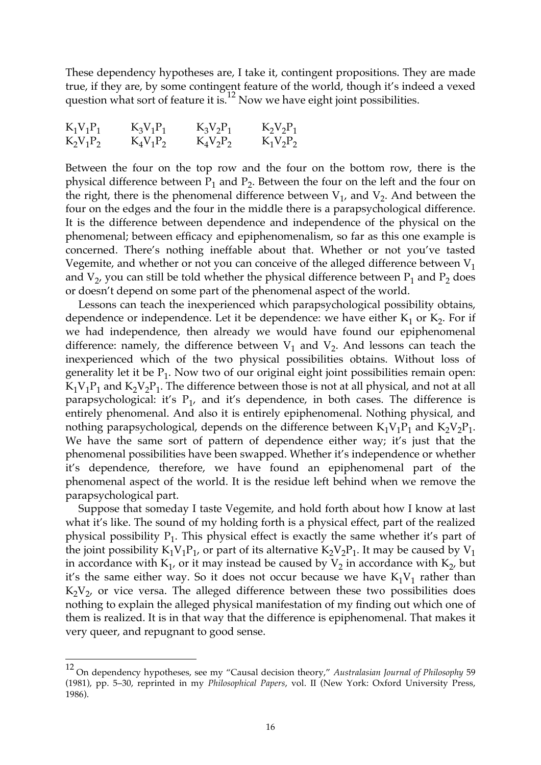These dependency hypotheses are, I take it, contingent propositions. They are made true, if they are, by some contingent feature of the world, though it's indeed a vexed question what sort of feature it is.<sup>12</sup> Now we have eight joint possibilities.

 $K_1V_1P_1$   $K_3V_1P_1$   $K_3V_2P_1$   $K_2V_2P_1$  $K_2V_1P_2$   $K_4V_1P_2$   $K_4V_2P_2$   $K_1V_2P_2$ 

Between the four on the top row and the four on the bottom row, there is the physical difference between  $P_1$  and  $P_2$ . Between the four on the left and the four on the right, there is the phenomenal difference between  $V_1$ , and  $V_2$ . And between the four on the edges and the four in the middle there is a parapsychological difference. It is the difference between dependence and independence of the physical on the phenomenal; between efficacy and epiphenomenalism, so far as this one example is concerned. There's nothing ineffable about that. Whether or not you've tasted Vegemite, and whether or not you can conceive of the alleged difference between  $V_1$ and  $V_2$ , you can still be told whether the physical difference between  $P_1$  and  $P_2$  does or doesn't depend on some part of the phenomenal aspect of the world.

Lessons can teach the inexperienced which parapsychological possibility obtains, dependence or independence. Let it be dependence: we have either  $K_1$  or  $K_2$ . For if we had independence, then already we would have found our epiphenomenal difference: namely, the difference between  $V_1$  and  $V_2$ . And lessons can teach the inexperienced which of the two physical possibilities obtains. Without loss of generality let it be  $P_1$ . Now two of our original eight joint possibilities remain open:  $K_1V_1P_1$  and  $K_2V_2P_1$ . The difference between those is not at all physical, and not at all parapsychological: it's  $P_1$ , and it's dependence, in both cases. The difference is entirely phenomenal. And also it is entirely epiphenomenal. Nothing physical, and nothing parapsychological, depends on the difference between  $K_1V_1P_1$  and  $K_2V_2P_1$ . We have the same sort of pattern of dependence either way; it's just that the phenomenal possibilities have been swapped. Whether it's independence or whether it's dependence, therefore, we have found an epiphenomenal part of the phenomenal aspect of the world. It is the residue left behind when we remove the parapsychological part.

Suppose that someday I taste Vegemite, and hold forth about how I know at last what it's like. The sound of my holding forth is a physical effect, part of the realized physical possibility  $P_1$ . This physical effect is exactly the same whether it's part of the joint possibility  $K_1V_1P_1$ , or part of its alternative  $K_2V_2P_1$ . It may be caused by  $V_1$ in accordance with  $K_1$ , or it may instead be caused by  $V_2$  in accordance with  $K_2$ , but it's the same either way. So it does not occur because we have  $K_1V_1$  rather than  $K_2V_2$ , or vice versa. The alleged difference between these two possibilities does nothing to explain the alleged physical manifestation of my finding out which one of them is realized. It is in that way that the difference is epiphenomenal. That makes it very queer, and repugnant to good sense.

<sup>12</sup> On dependency hypotheses, see my "Causal decision theory," *Australasian Journal of Philosophy* <sup>59</sup> (1981), pp. 5–30, reprinted in my *Philosophical Papers*, vol. II (New York: Oxford University Press, 1986).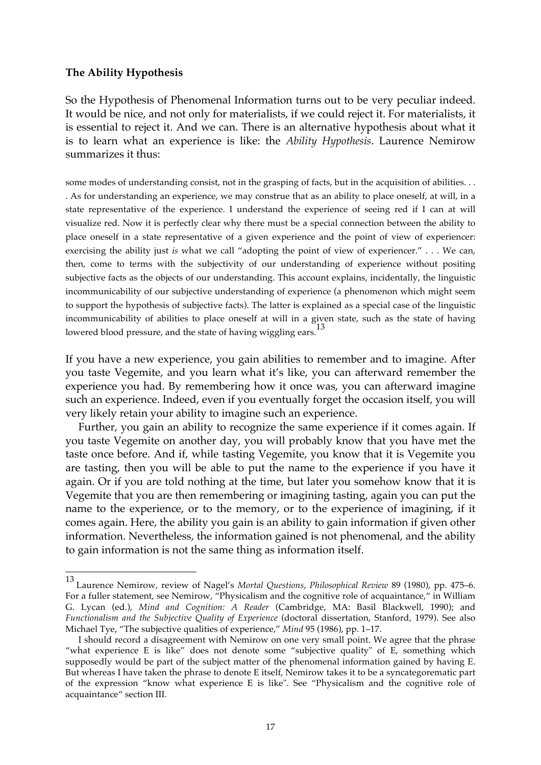## **The Ability Hypothesis**

So the Hypothesis of Phenomenal Information turns out to be very peculiar indeed. It would be nice, and not only for materialists, if we could reject it. For materialists, it is essential to reject it. And we can. There is an alternative hypothesis about what it is to learn what an experience is like: the *Ability Hypothesis*. Laurence Nemirow summarizes it thus:

some modes of understanding consist, not in the grasping of facts, but in the acquisition of abilities. . . . As for understanding an experience, we may construe that as an ability to place oneself, at will, in a state representative of the experience. I understand the experience of seeing red if I can at will visualize red. Now it is perfectly clear why there must be a special connection between the ability to place oneself in a state representative of a given experience and the point of view of experiencer: exercising the ability just *is* what we call "adopting the point of view of experiencer." . . . We can, then, come to terms with the subjectivity of our understanding of experience without positing subjective facts as the objects of our understanding. This account explains, incidentally, the linguistic incommunicability of our subjective understanding of experience (a phenomenon which might seem to support the hypothesis of subjective facts). The latter is explained as a special case of the linguistic incommunicability of abilities to place oneself at will in a given state, such as the state of having lowered blood pressure, and the state of having wiggling ears. 13

If you have a new experience, you gain abilities to remember and to imagine. After you taste Vegemite, and you learn what it's like, you can afterward remember the experience you had. By remembering how it once was, you can afterward imagine such an experience. Indeed, even if you eventually forget the occasion itself, you will very likely retain your ability to imagine such an experience.

Further, you gain an ability to recognize the same experience if it comes again. If you taste Vegemite on another day, you will probably know that you have met the taste once before. And if, while tasting Vegemite, you know that it is Vegemite you are tasting, then you will be able to put the name to the experience if you have it again. Or if you are told nothing at the time, but later you somehow know that it is Vegemite that you are then remembering or imagining tasting, again you can put the name to the experience, or to the memory, or to the experience of imagining, if it comes again. Here, the ability you gain is an ability to gain information if given other information. Nevertheless, the information gained is not phenomenal, and the ability to gain information is not the same thing as information itself.

<sup>13</sup> Laurence Nemirow, review of Nagel's *Mortal Questions*, *Philosophical Review* <sup>89</sup> (1980), pp. 475–6. For a fuller statement, see Nemirow, "Physicalism and the cognitive role of acquaintance," in William G. Lycan (ed.), *Mind and Cognition: A Reader* (Cambridge, MA: Basil Blackwell, 1990); and *Functionalism and the Subjective Quality of Experience* (doctoral dissertation, Stanford, 1979). See also Michael Tye, "The subjective qualities of experience," *Mind* 95 (1986), pp. 1–17.

I should record a disagreement with Nemirow on one very small point. We agree that the phrase "what experience E is like" does not denote some "subjective quality" of E, something which supposedly would be part of the subject matter of the phenomenal information gained by having E. But whereas I have taken the phrase to denote E itself, Nemirow takes it to be a syncategorematic part of the expression "know what experience E is like". See "Physicalism and the cognitive role of acquaintance" section III.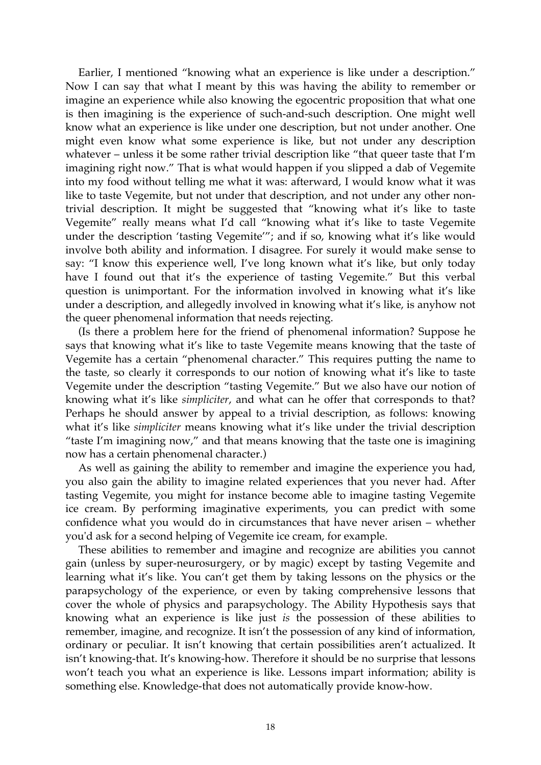Earlier, I mentioned "knowing what an experience is like under a description." Now I can say that what I meant by this was having the ability to remember or imagine an experience while also knowing the egocentric proposition that what one is then imagining is the experience of such-and-such description. One might well know what an experience is like under one description, but not under another. One might even know what some experience is like, but not under any description whatever – unless it be some rather trivial description like "that queer taste that I'm imagining right now." That is what would happen if you slipped a dab of Vegemite into my food without telling me what it was: afterward, I would know what it was like to taste Vegemite, but not under that description, and not under any other nontrivial description. It might be suggested that "knowing what it's like to taste Vegemite" really means what I'd call "knowing what it's like to taste Vegemite under the description 'tasting Vegemite'"; and if so, knowing what it's like would involve both ability and information. I disagree. For surely it would make sense to say: "I know this experience well, I've long known what it's like, but only today have I found out that it's the experience of tasting Vegemite." But this verbal question is unimportant. For the information involved in knowing what it's like under a description, and allegedly involved in knowing what it's like, is anyhow not the queer phenomenal information that needs rejecting.

(Is there a problem here for the friend of phenomenal information? Suppose he says that knowing what it's like to taste Vegemite means knowing that the taste of Vegemite has a certain "phenomenal character." This requires putting the name to the taste, so clearly it corresponds to our notion of knowing what it's like to taste Vegemite under the description "tasting Vegemite." But we also have our notion of knowing what it's like *simpliciter*, and what can he offer that corresponds to that? Perhaps he should answer by appeal to a trivial description, as follows: knowing what it's like *simpliciter* means knowing what it's like under the trivial description "taste I'm imagining now," and that means knowing that the taste one is imagining now has a certain phenomenal character.)

As well as gaining the ability to remember and imagine the experience you had, you also gain the ability to imagine related experiences that you never had. After tasting Vegemite, you might for instance become able to imagine tasting Vegemite ice cream. By performing imaginative experiments, you can predict with some confidence what you would do in circumstances that have never arisen – whether you'd ask for a second helping of Vegemite ice cream, for example.

These abilities to remember and imagine and recognize are abilities you cannot gain (unless by super-neurosurgery, or by magic) except by tasting Vegemite and learning what it's like. You can't get them by taking lessons on the physics or the parapsychology of the experience, or even by taking comprehensive lessons that cover the whole of physics and parapsychology. The Ability Hypothesis says that knowing what an experience is like just *is* the possession of these abilities to remember, imagine, and recognize. It isn't the possession of any kind of information, ordinary or peculiar. It isn't knowing that certain possibilities aren't actualized. It isn't knowing-that. It's knowing-how. Therefore it should be no surprise that lessons won't teach you what an experience is like. Lessons impart information; ability is something else. Knowledge-that does not automatically provide know-how.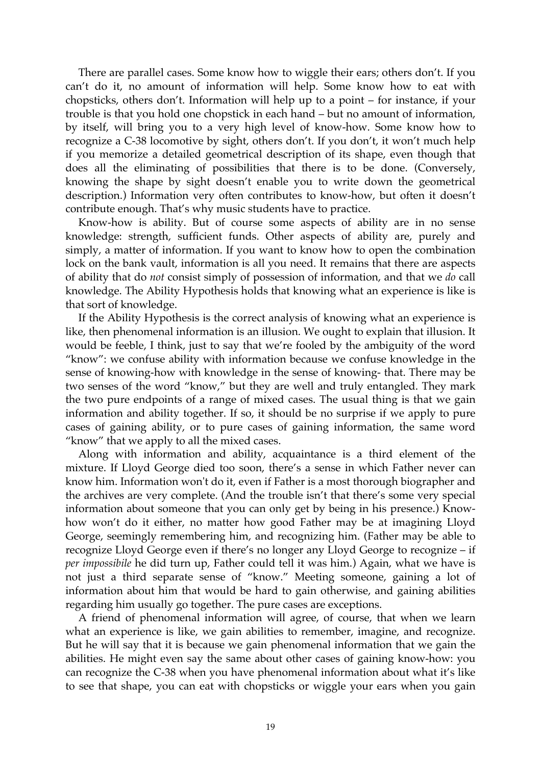There are parallel cases. Some know how to wiggle their ears; others don't. If you can't do it, no amount of information will help. Some know how to eat with chopsticks, others don't. Information will help up to a point – for instance, if your trouble is that you hold one chopstick in each hand – but no amount of information, by itself, will bring you to a very high level of know-how. Some know how to recognize a C-38 locomotive by sight, others don't. If you don't, it won't much help if you memorize a detailed geometrical description of its shape, even though that does all the eliminating of possibilities that there is to be done. (Conversely, knowing the shape by sight doesn't enable you to write down the geometrical description.) Information very often contributes to know-how, but often it doesn't contribute enough. That's why music students have to practice.

Know-how is ability. But of course some aspects of ability are in no sense knowledge: strength, sufficient funds. Other aspects of ability are, purely and simply, a matter of information. If you want to know how to open the combination lock on the bank vault, information is all you need. It remains that there are aspects of ability that do *not* consist simply of possession of information, and that we *do* call knowledge. The Ability Hypothesis holds that knowing what an experience is like is that sort of knowledge.

If the Ability Hypothesis is the correct analysis of knowing what an experience is like, then phenomenal information is an illusion. We ought to explain that illusion. It would be feeble, I think, just to say that we're fooled by the ambiguity of the word "know": we confuse ability with information because we confuse knowledge in the sense of knowing-how with knowledge in the sense of knowing- that. There may be two senses of the word "know," but they are well and truly entangled. They mark the two pure endpoints of a range of mixed cases. The usual thing is that we gain information and ability together. If so, it should be no surprise if we apply to pure cases of gaining ability, or to pure cases of gaining information, the same word "know" that we apply to all the mixed cases.

Along with information and ability, acquaintance is a third element of the mixture. If Lloyd George died too soon, there's a sense in which Father never can know him. Information won't do it, even if Father is a most thorough biographer and the archives are very complete. (And the trouble isn't that there's some very special information about someone that you can only get by being in his presence.) Knowhow won't do it either, no matter how good Father may be at imagining Lloyd George, seemingly remembering him, and recognizing him. (Father may be able to recognize Lloyd George even if there's no longer any Lloyd George to recognize – if *per impossibile* he did turn up, Father could tell it was him.) Again, what we have is not just a third separate sense of "know." Meeting someone, gaining a lot of information about him that would be hard to gain otherwise, and gaining abilities regarding him usually go together. The pure cases are exceptions.

A friend of phenomenal information will agree, of course, that when we learn what an experience is like, we gain abilities to remember, imagine, and recognize. But he will say that it is because we gain phenomenal information that we gain the abilities. He might even say the same about other cases of gaining know-how: you can recognize the C-38 when you have phenomenal information about what it's like to see that shape, you can eat with chopsticks or wiggle your ears when you gain